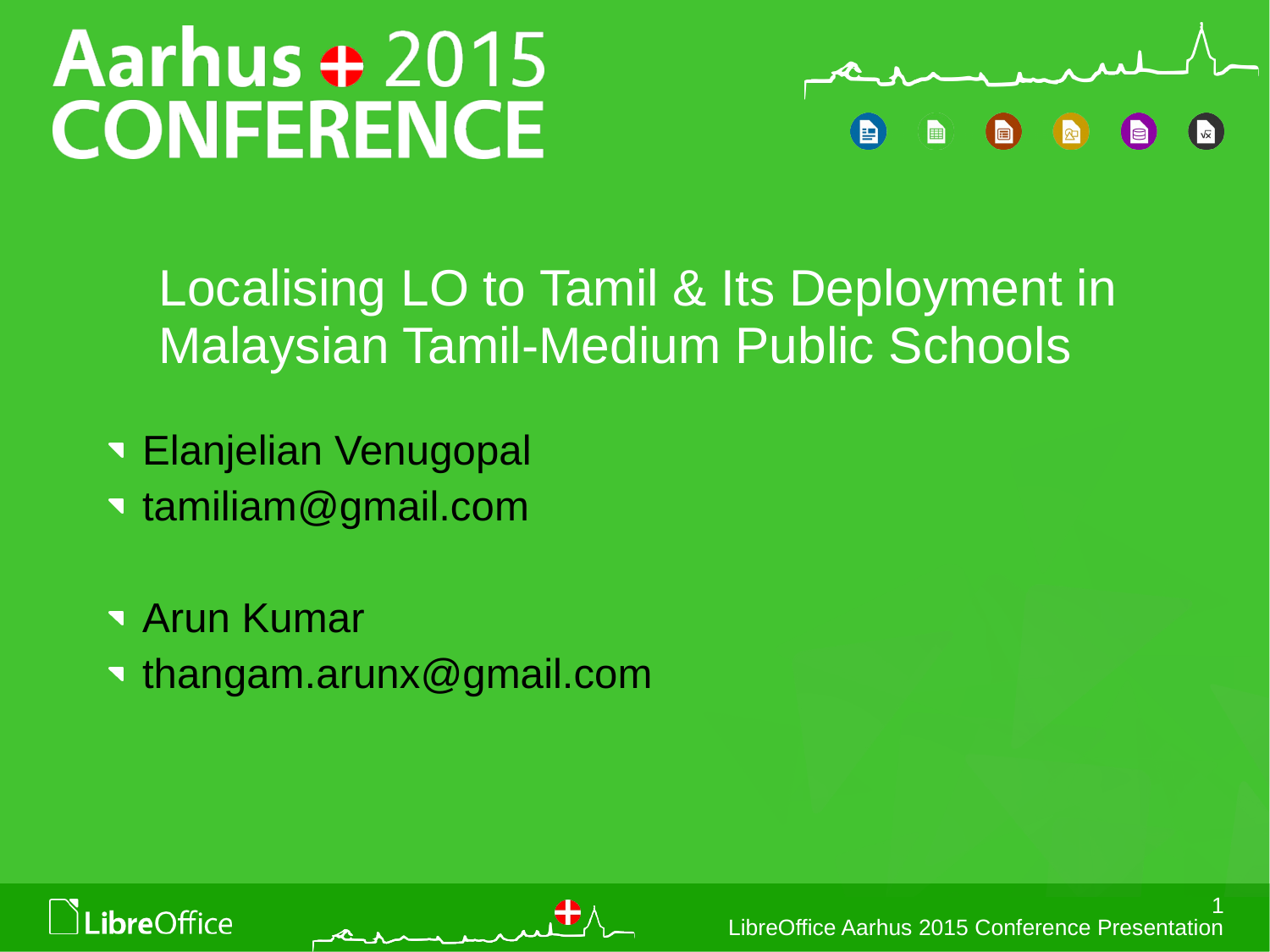# Aarhus + 2015 **CONFERENCE**



### Localising LO to Tamil & Its Deployment in Malaysian Tamil-Medium Public Schools

- Elanjelian Venugopal
- tamiliam@gmail.com
- Arun Kumar thangam.arunx@gmail.com





1 LibreOffice Aarhus 2015 Conference Presentation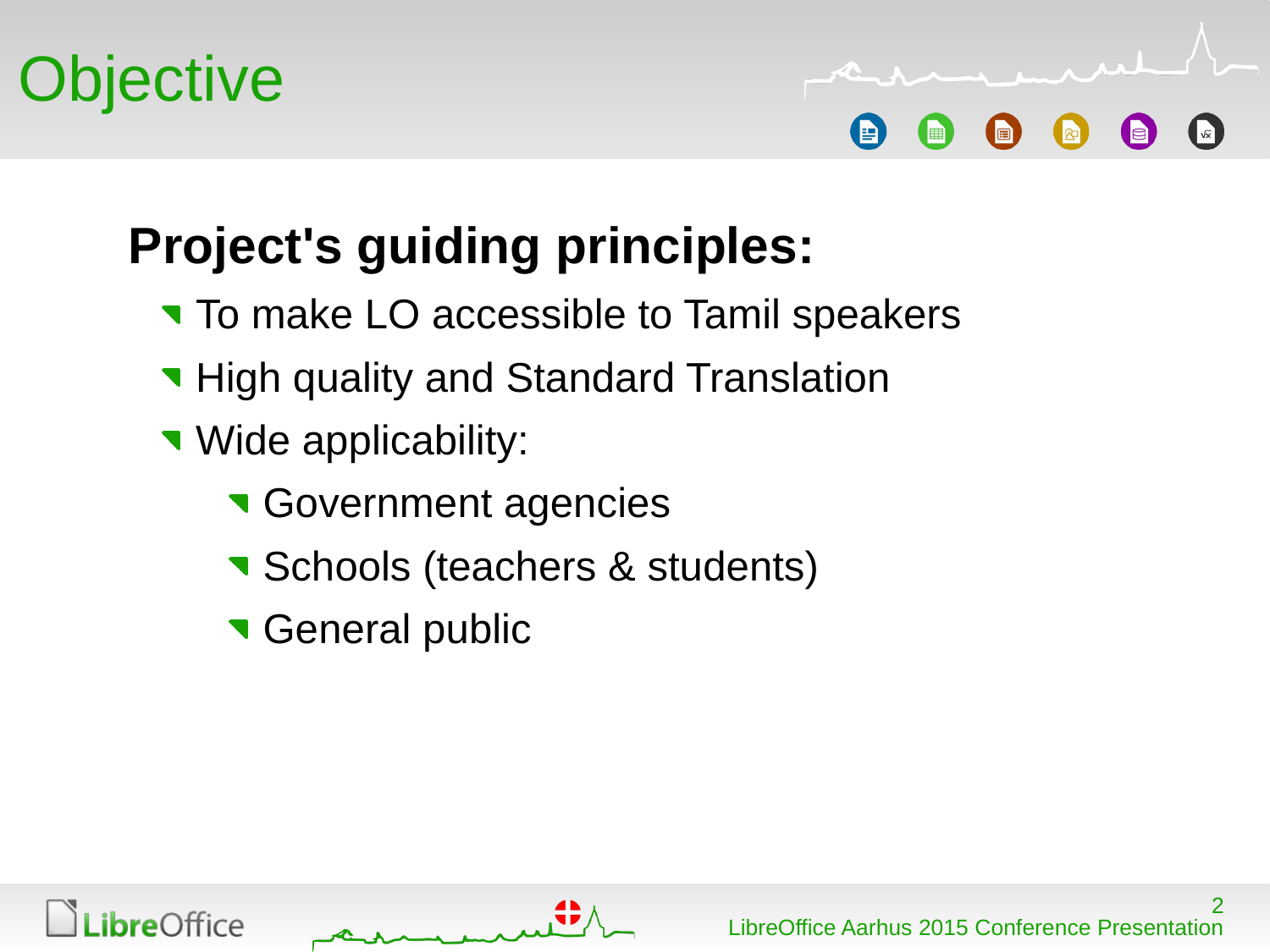

## **Project's guiding principles:**

- To make LO accessible to Tamil speakers
- **High quality and Standard Translation**
- **Wide applicability:** 
	- **Government agencies**
	- **Schools (teachers & students)**
	- **General public**



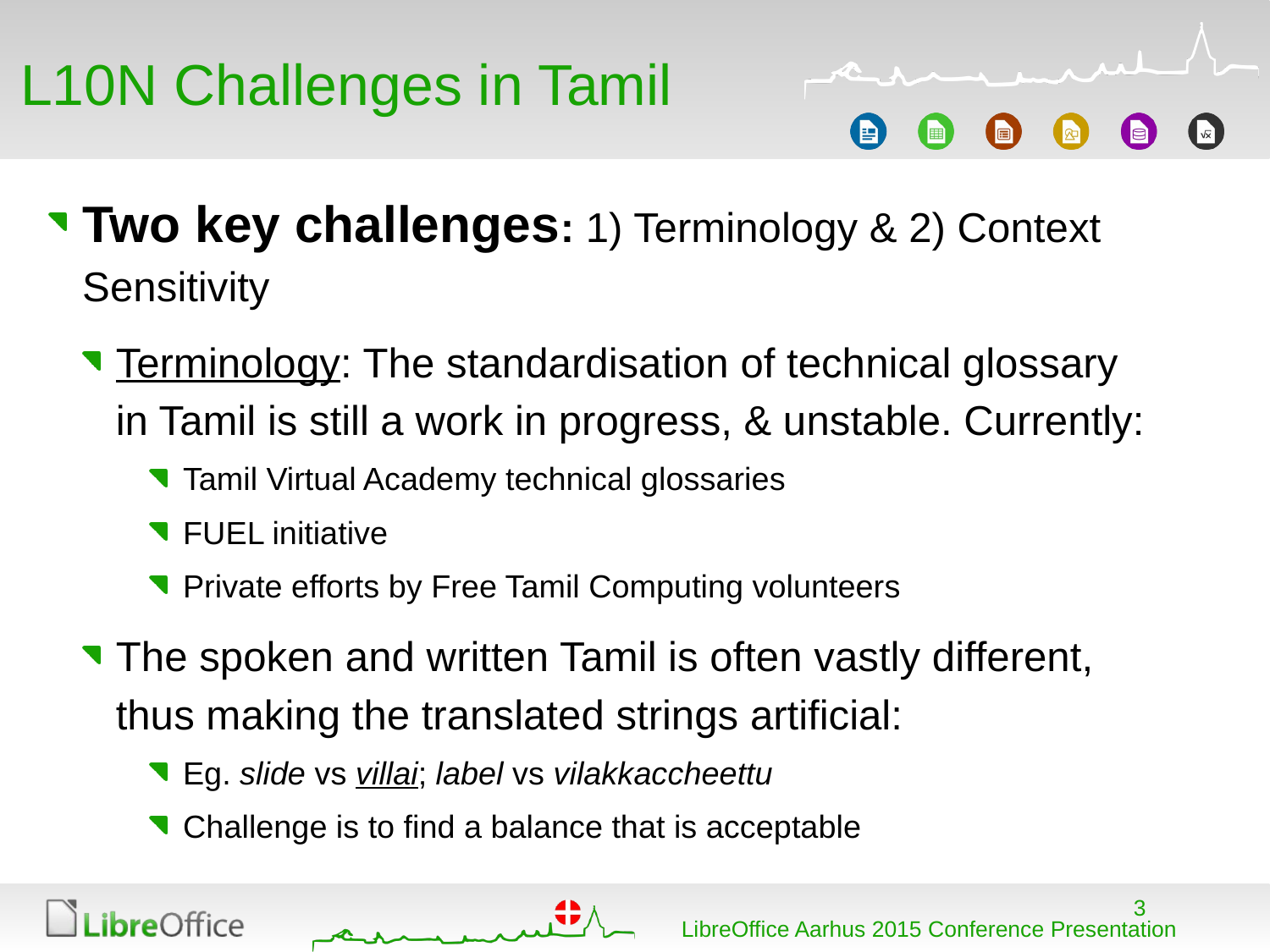

- **Two key challenges:** 1) Terminology & 2) Context **Sensitivity** 
	- Terminology: The standardisation of technical glossary in Tamil is still a work in progress, & unstable. Currently:
		- **Tamil Virtual Academy technical glossaries**
		- **T** FUEL initiative
		- **Private efforts by Free Tamil Computing volunteers**
	- The spoken and written Tamil is often vastly different, thus making the translated strings artificial:
		- Eg. *slide* vs *villai*; *label* vs *vilakkaccheettu*
		- Challenge is to find a balance that is acceptable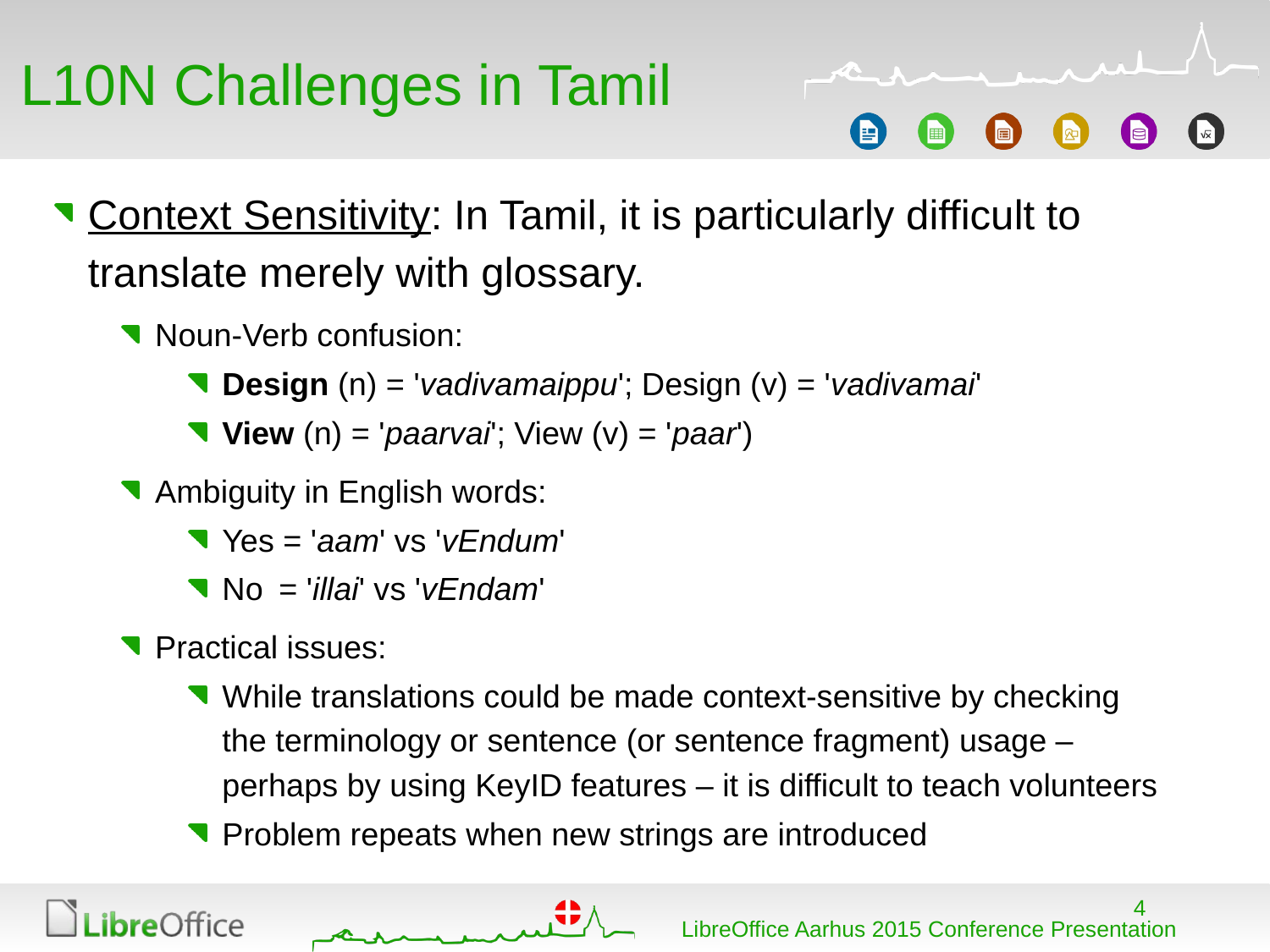# L10N Challenges in Tamil

- **Context Sensitivity: In Tamil, it is particularly difficult to** translate merely with glossary.
	- **Noun-Verb confusion:** 
		- **Design** (n) = '*vadivamaippu*'; Design (v) = '*vadivamai*'
		- **View** (n) = '*paarvai*'; View (v) = '*paar*')
	- **Ambiguity in English words:** 
		- Yes = '*aam*' vs '*vEndum*'
		- No = '*illai*' vs '*vEndam*'
	- Practical issues:
		- While translations could be made context-sensitive by checking the terminology or sentence (or sentence fragment) usage – perhaps by using KeyID features – it is difficult to teach volunteers
		- **Problem repeats when new strings are introduced**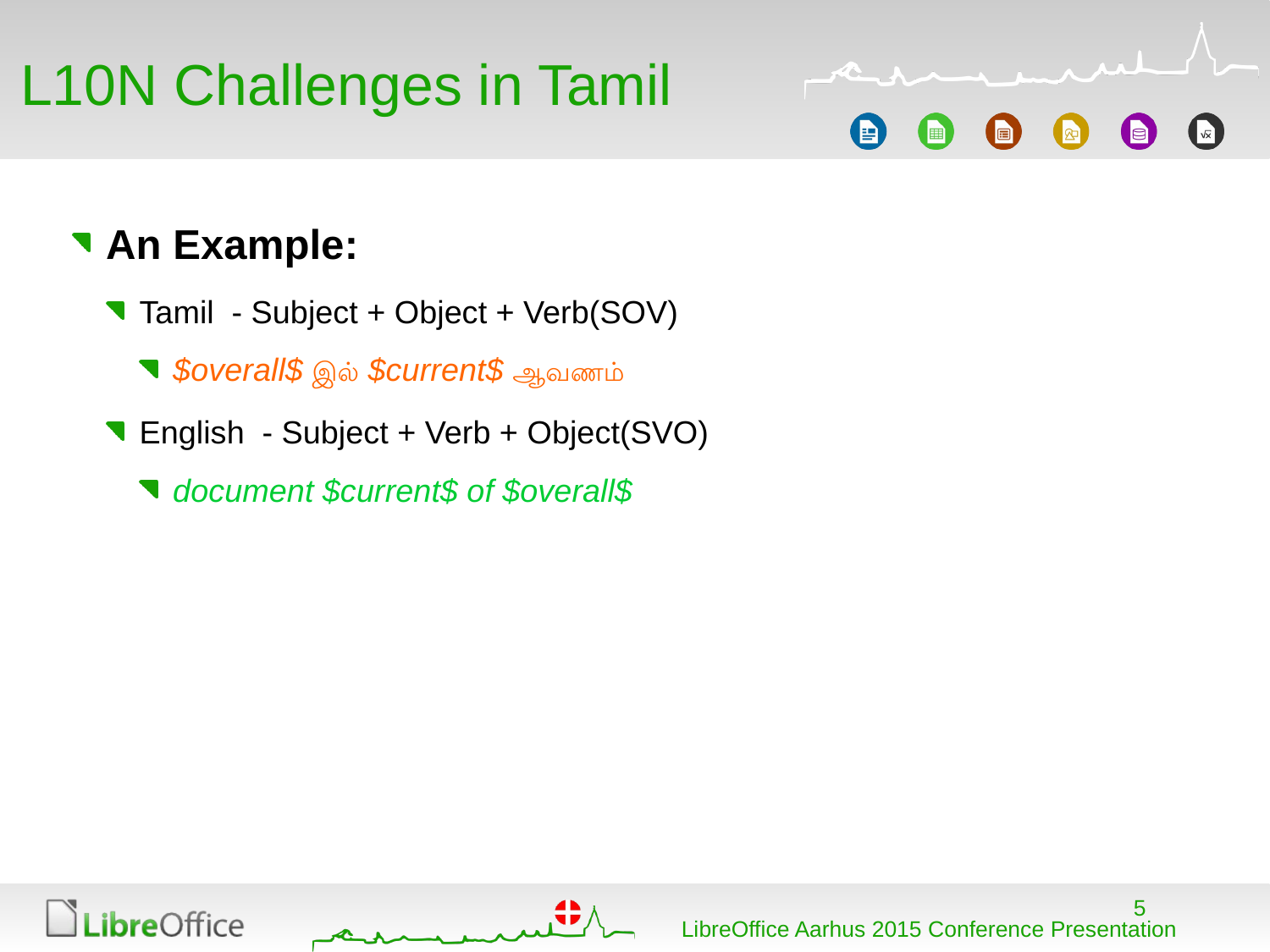## L10N Challenges in Tamil

#### **An Example:**

- Tamil Subject + Object + Verb(SOV)
	- *\$overall\$* இல *\$current\$* ஆவணம
- English Subject + Verb + Object(SVO)
	- *document \$current\$ of \$overall\$*



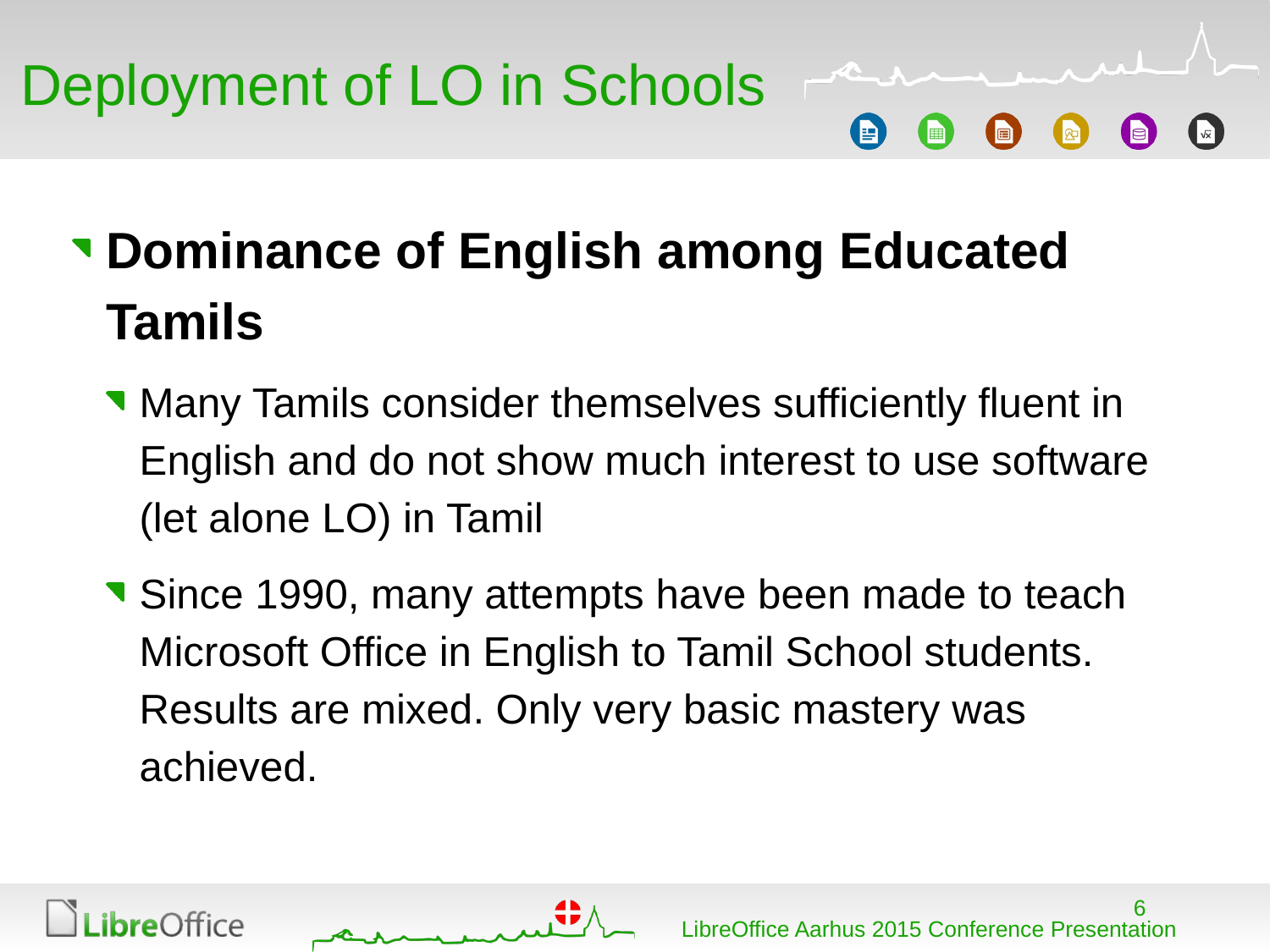**Dominance of English among Educated Tamils**

- **Many Tamils consider themselves sufficiently fluent in** English and do not show much interest to use software (let alone LO) in Tamil
- **Since 1990, many attempts have been made to teach** Microsoft Office in English to Tamil School students. Results are mixed. Only very basic mastery was achieved.



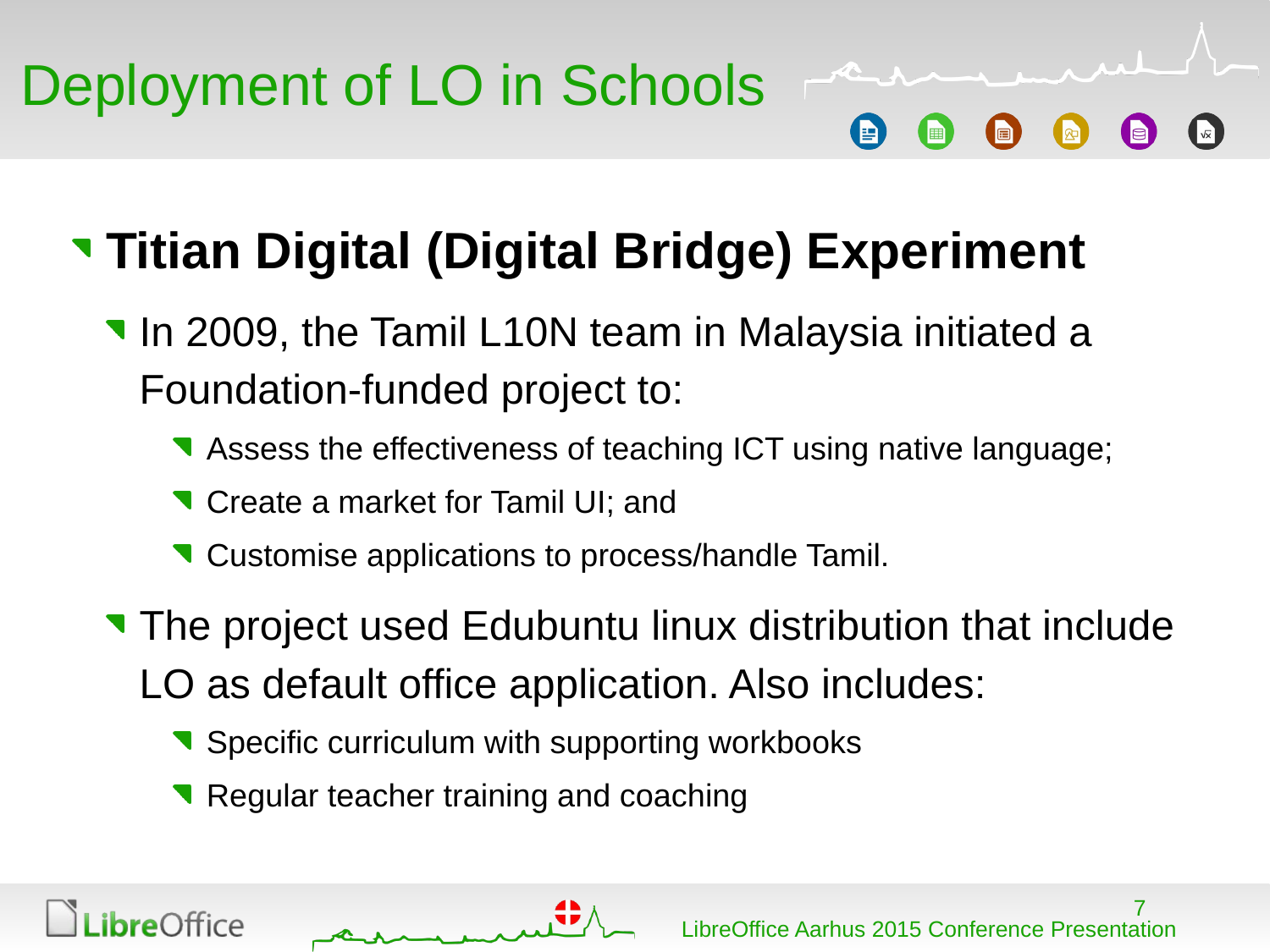## **Titian Digital (Digital Bridge) Experiment**

- **In 2009, the Tamil L10N team in Malaysia initiated a** Foundation-funded project to:
	- Assess the effectiveness of teaching ICT using native language;
	- **T** Create a market for Tamil UI; and
	- Customise applications to process/handle Tamil.
- The project used Edubuntu linux distribution that include LO as default office application. Also includes:
	- Specific curriculum with supporting workbooks
	- Regular teacher training and coaching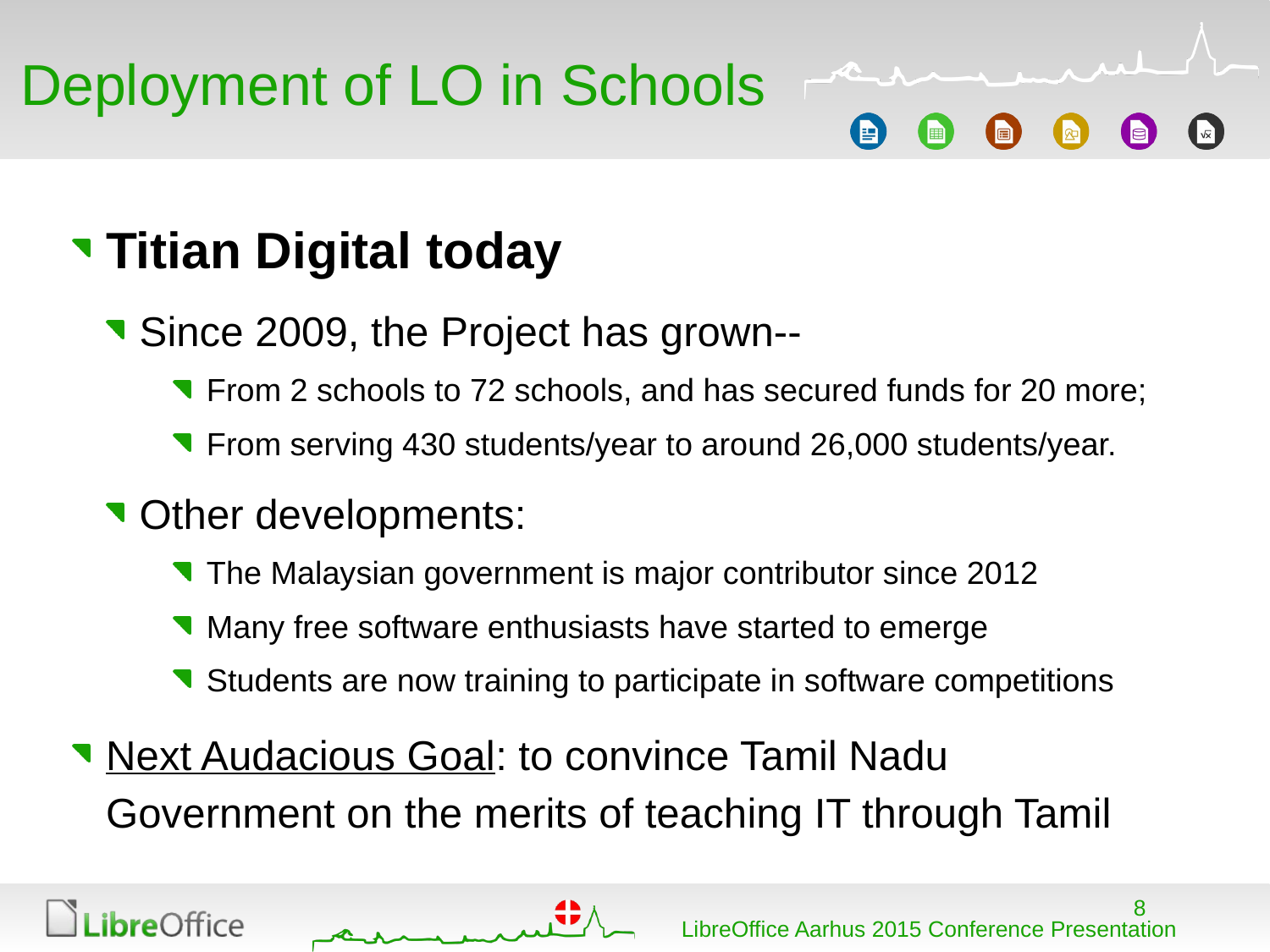# Deployment of LO in Schools r

### **Titian Digital today**

- Since 2009, the Project has grown--
	- **T** From 2 schools to 72 schools, and has secured funds for 20 more;
	- **T** From serving 430 students/year to around 26,000 students/year.

#### **v** Other developments:

- The Malaysian government is major contributor since 2012
- **Many free software enthusiasts have started to emerge**
- Students are now training to participate in software competitions
- **Next Audacious Goal: to convince Tamil Nadu** Government on the merits of teaching IT through Tamil

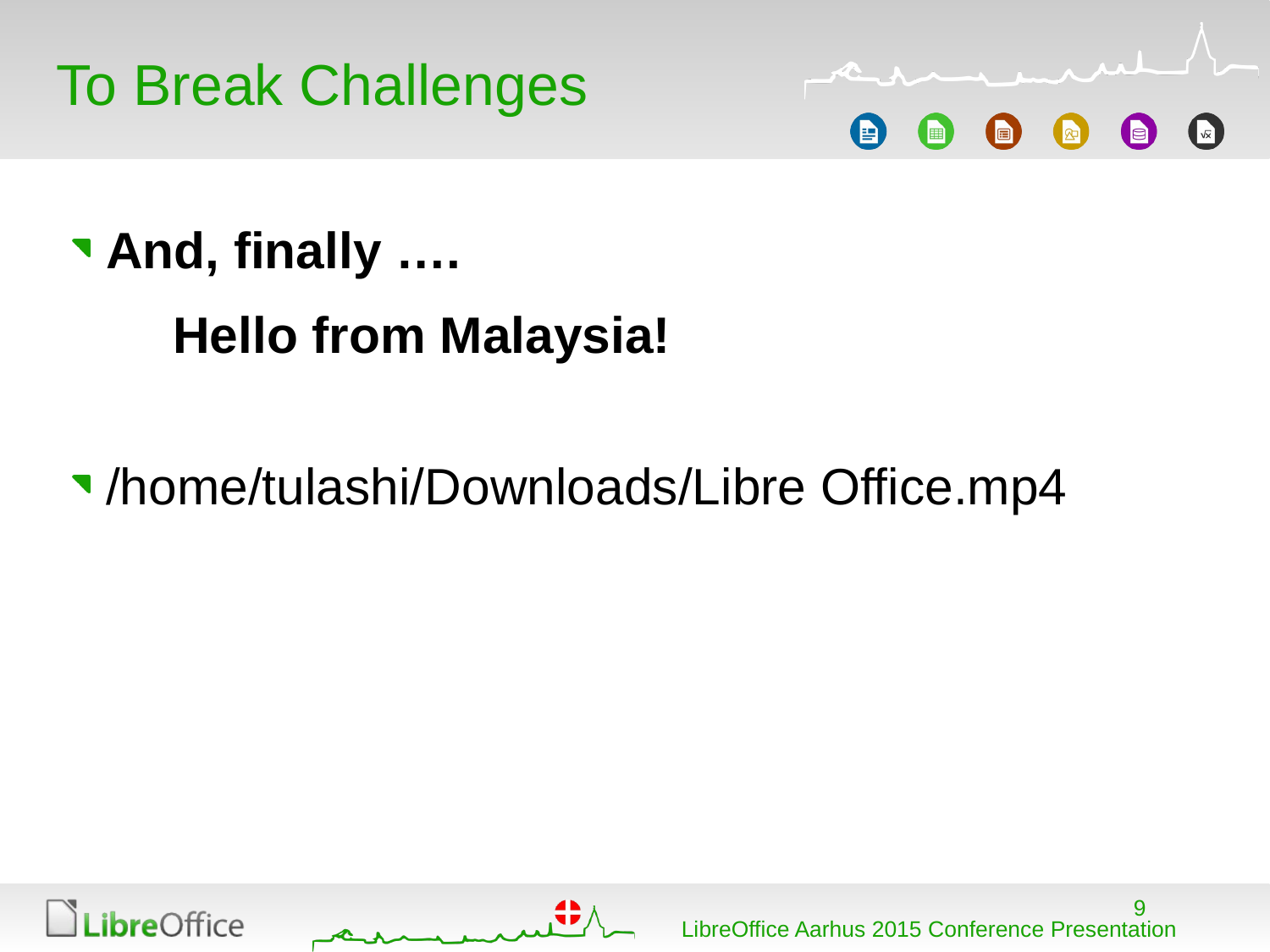



# **And, finally …. Hello from Malaysia!**

### [/home/tulashi/Downloads/Libre Office.mp4](file:///home/sgautier/Job/TDF/Talks_2015/Libre%20Office.mp4)